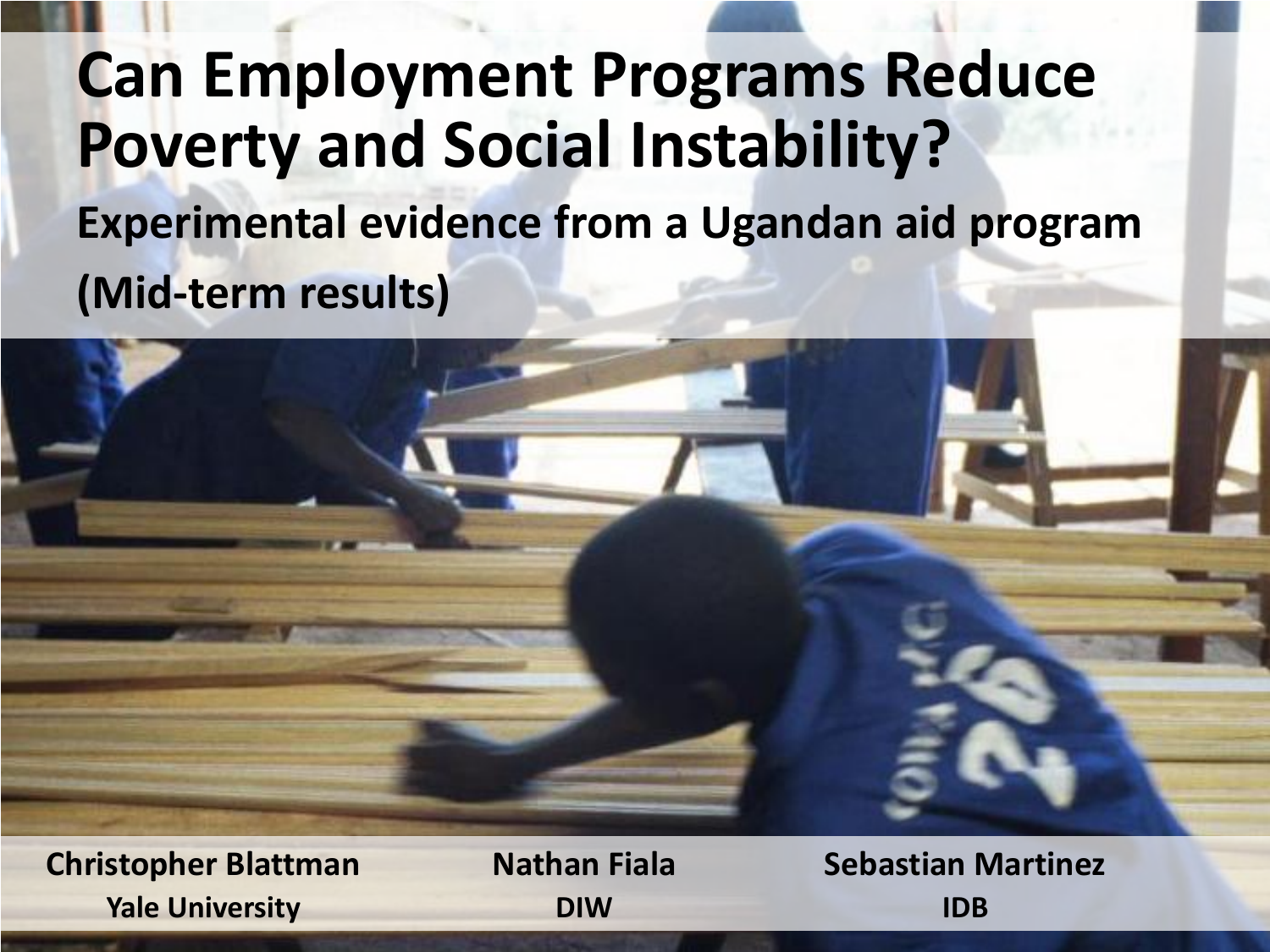# **Can Employment Programs Reduce Poverty and Social Instability? Experimental evidence from a Ugandan aid program (Mid-term results)**



**Christopher Blattman Nathan Fiala Sebastian Martinez Yale University DIW IDB**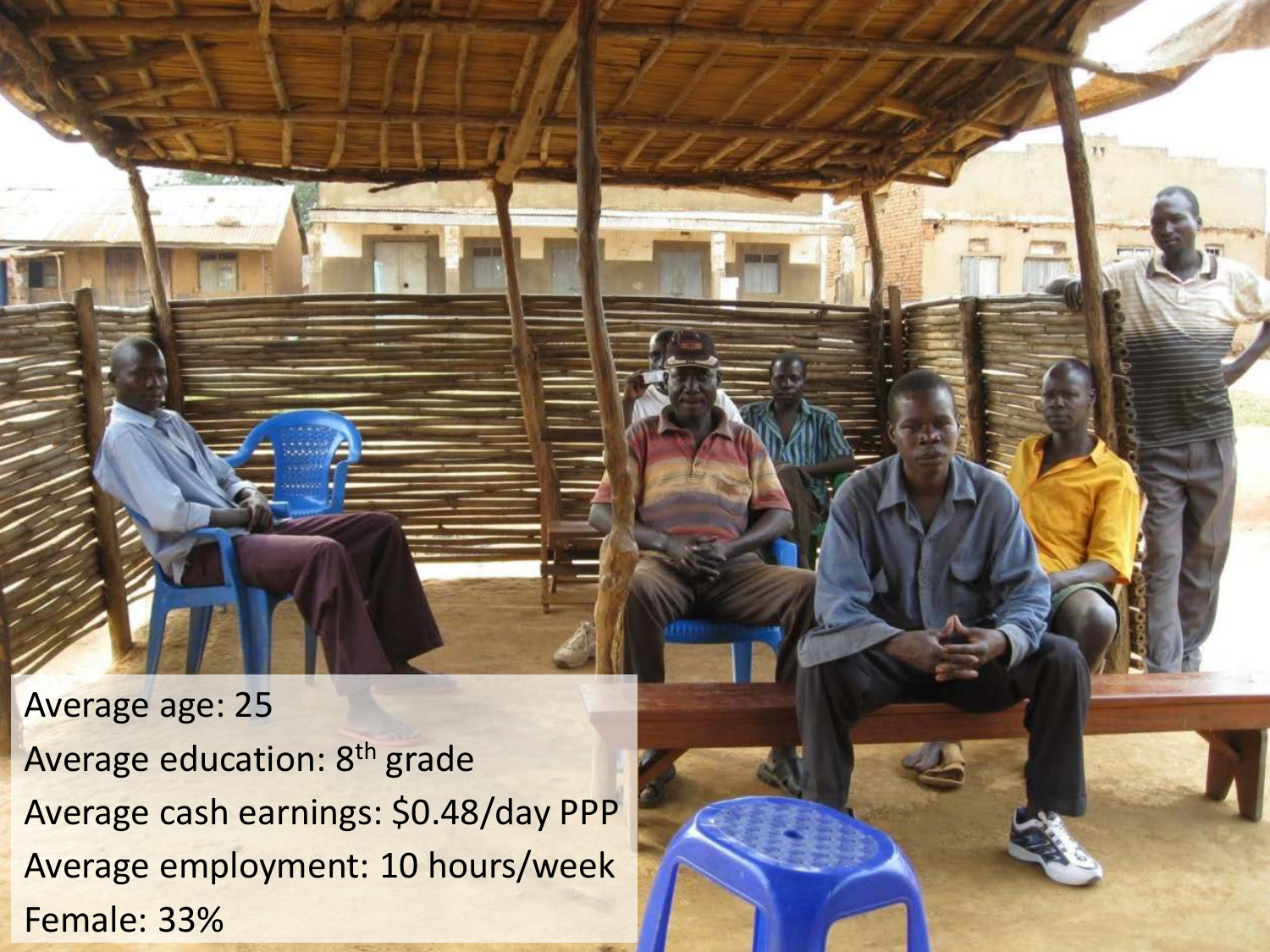Average age: 25 Average education: 8<sup>th</sup> grade Average cash earnings: \$0.48/day PPP Average employment: 10 hours/week Female: 33%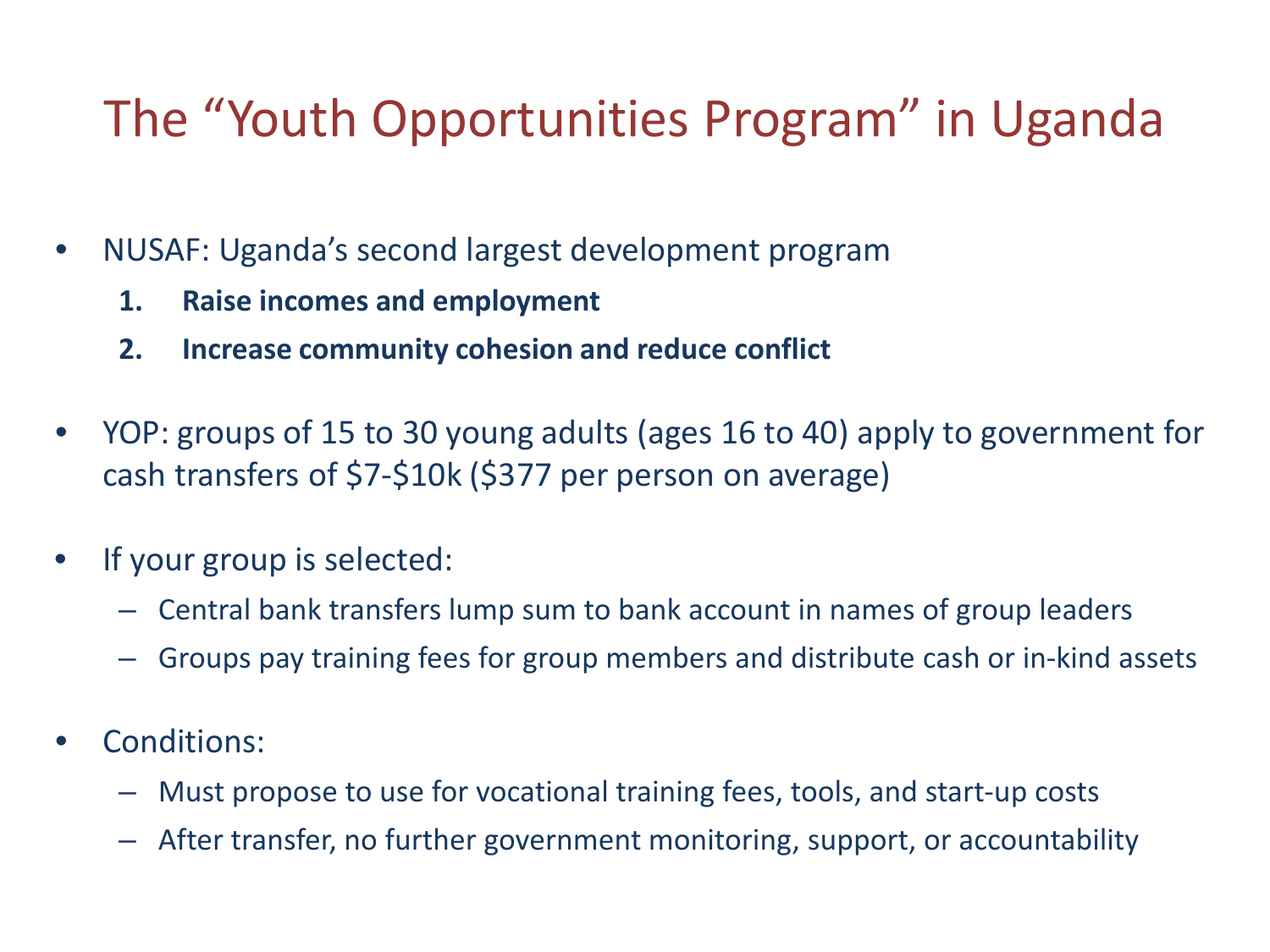## The "Youth Opportunities Program" in Uganda

- NUSAF: Uganda's second largest development program
	- **1. Raise incomes and employment**
	- **2. Increase community cohesion and reduce conflict**
- YOP: groups of 15 to 30 young adults (ages 16 to 40) apply to government for cash transfers of \$7-\$10k (\$377 per person on average)
- If your group is selected:
	- Central bank transfers lump sum to bank account in names of group leaders
	- Groups pay training fees for group members and distribute cash or in-kind assets
- Conditions:
	- Must propose to use for vocational training fees, tools, and start-up costs
	- After transfer, no further government monitoring, support, or accountability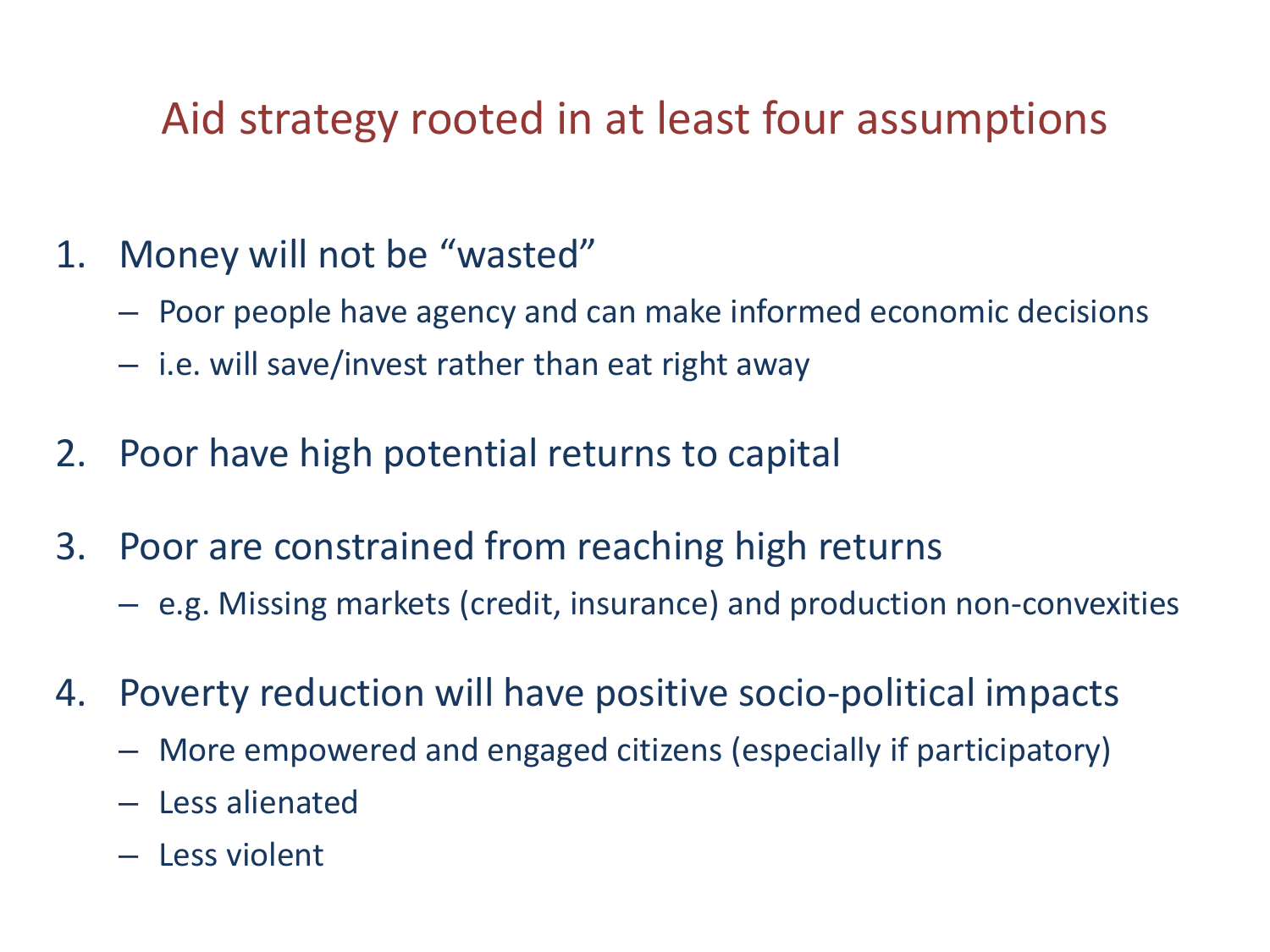### Aid strategy rooted in at least four assumptions

- 1. Money will not be "wasted"
	- Poor people have agency and can make informed economic decisions
	- i.e. will save/invest rather than eat right away
- 2. Poor have high potential returns to capital
- 3. Poor are constrained from reaching high returns
	- e.g. Missing markets (credit, insurance) and production non-convexities
- 4. Poverty reduction will have positive socio-political impacts
	- More empowered and engaged citizens (especially if participatory)
	- Less alienated
	- Less violent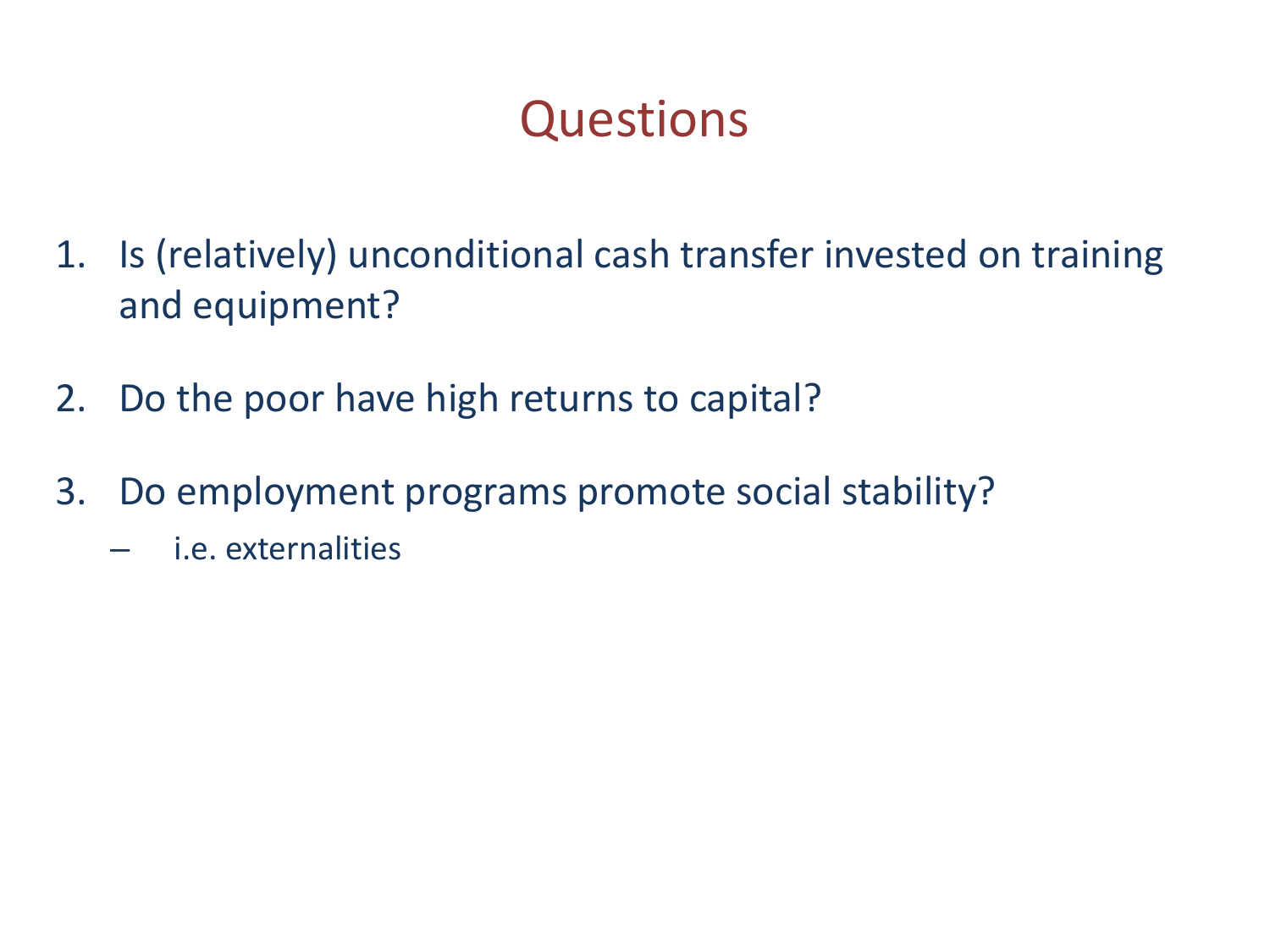## **Questions**

- 1. Is (relatively) unconditional cash transfer invested on training and equipment?
- 2. Do the poor have high returns to capital?
- 3. Do employment programs promote social stability?
	- i.e. externalities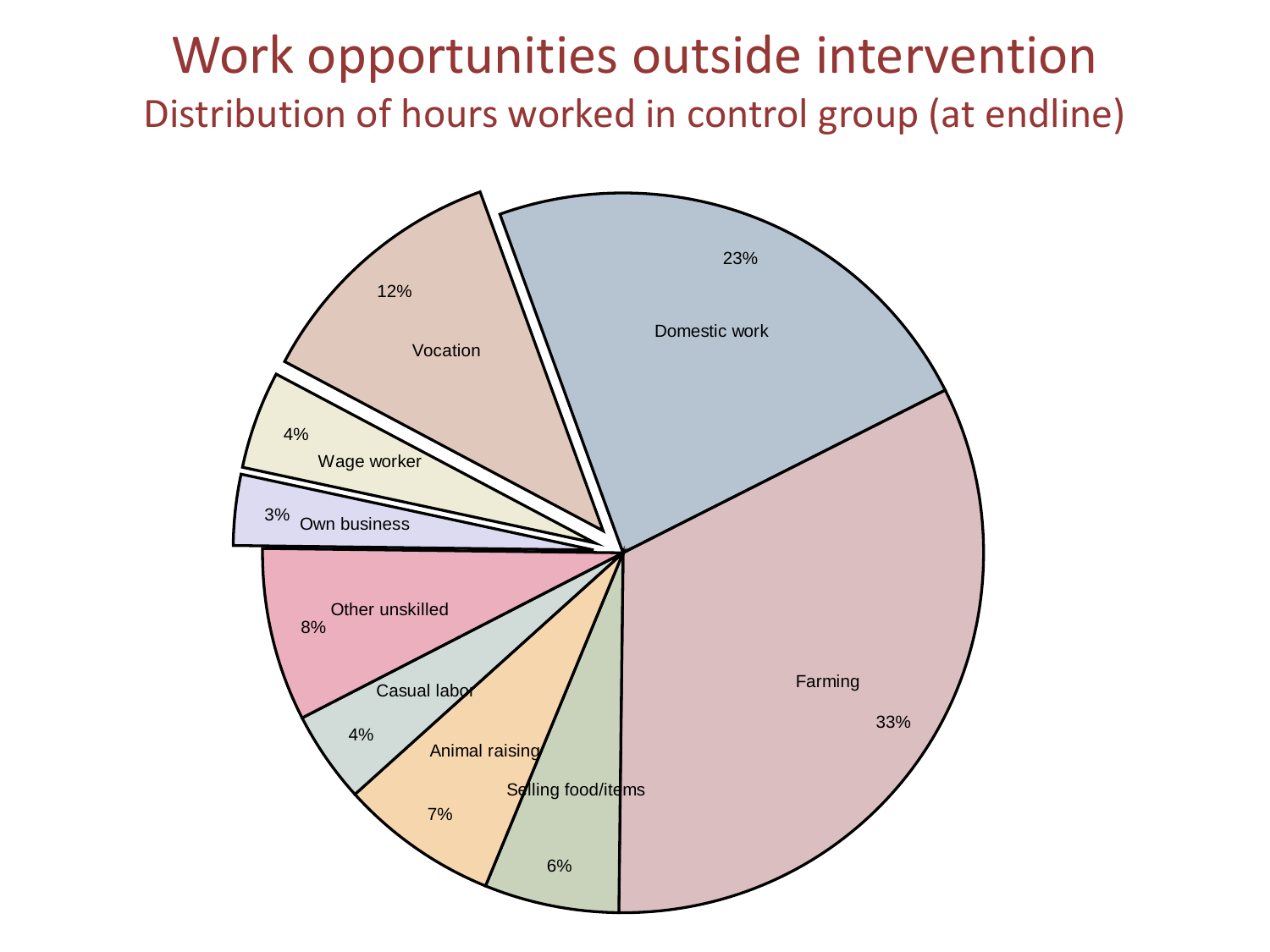### Work opportunities outside intervention Distribution of hours worked in control group (at endline)

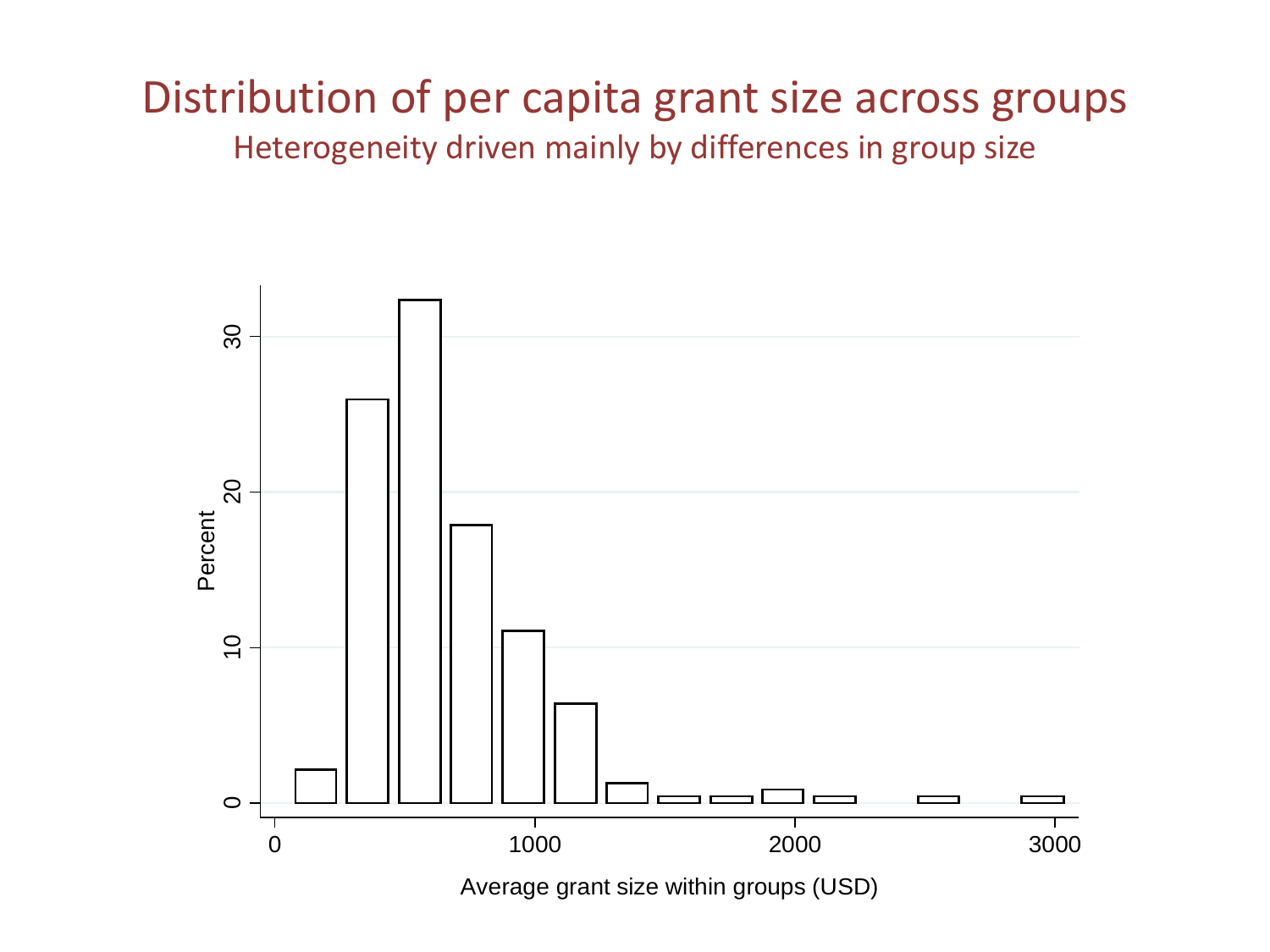#### Distribution of per capita grant size across groups Heterogeneity driven mainly by differences in group size



Average grant size within groups (USD)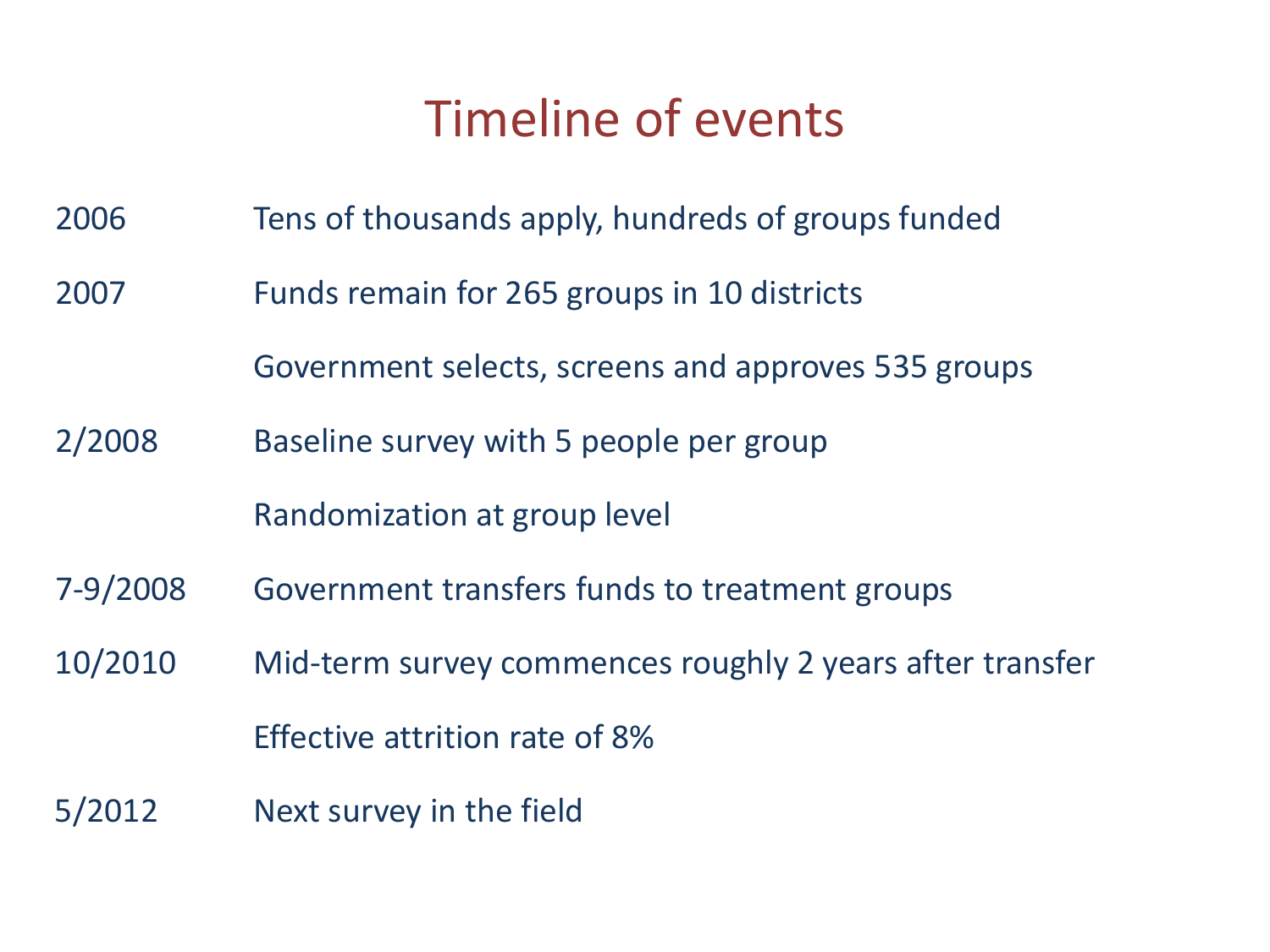## Timeline of events

- 2006 Tens of thousands apply, hundreds of groups funded
- 2007 Funds remain for 265 groups in 10 districts

Government selects, screens and approves 535 groups

2/2008 Baseline survey with 5 people per group

Randomization at group level

- 7-9/2008 Government transfers funds to treatment groups
- 10/2010 Mid-term survey commences roughly 2 years after transfer Effective attrition rate of 8%
- 5/2012 Next survey in the field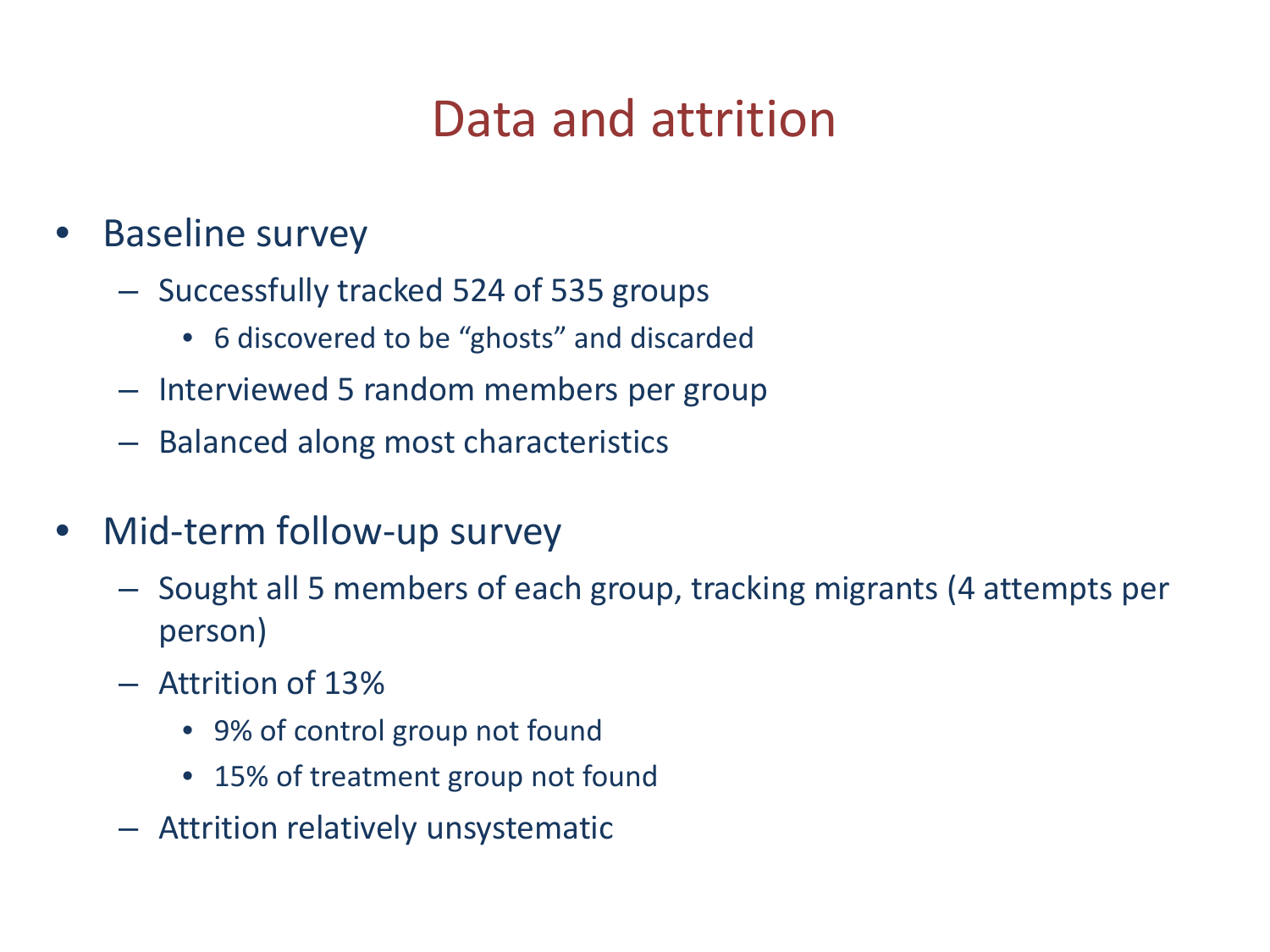## Data and attrition

- **Baseline survey** 
	- Successfully tracked 524 of 535 groups
		- 6 discovered to be "ghosts" and discarded
	- Interviewed 5 random members per group
	- Balanced along most characteristics
- Mid-term follow-up survey
	- Sought all 5 members of each group, tracking migrants (4 attempts per person)
	- Attrition of 13%
		- 9% of control group not found
		- 15% of treatment group not found
	- Attrition relatively unsystematic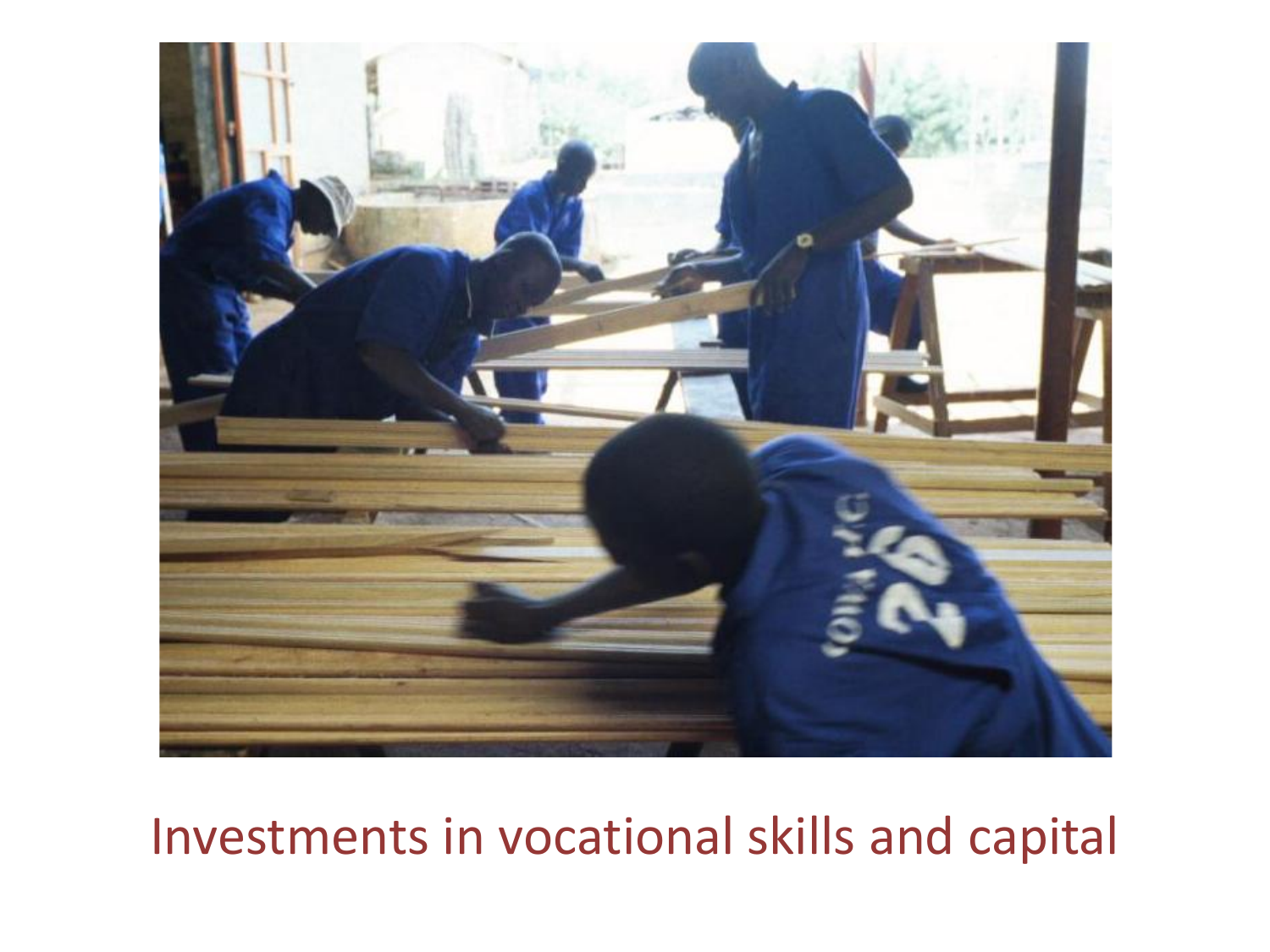

## Investments in vocational skills and capital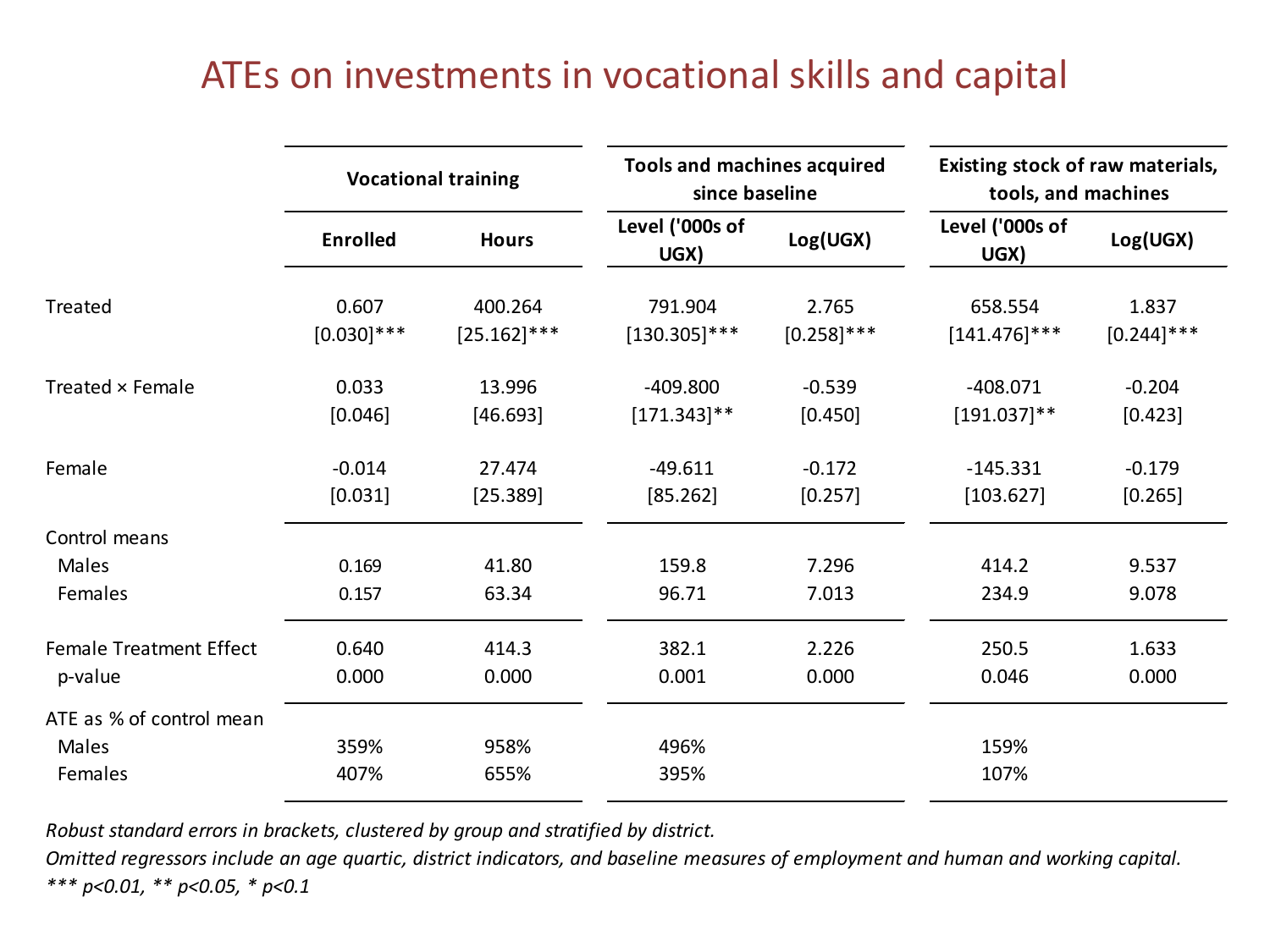#### ATEs on investments in vocational skills and capital

|                                              | <b>Vocational training</b> |                | <b>Tools and machines acquired</b><br>since baseline |                | Existing stock of raw materials,<br>tools, and machines |                |
|----------------------------------------------|----------------------------|----------------|------------------------------------------------------|----------------|---------------------------------------------------------|----------------|
|                                              | <b>Enrolled</b>            | <b>Hours</b>   | Level ('000s of<br>UGX)                              | Log(UGX)       | Level ('000s of<br>UGX)                                 | Log(UGX)       |
| Treated                                      | 0.607                      | 400.264        | 791.904                                              | 2.765          | 658.554                                                 | 1.837          |
|                                              | $[0.030]$ ***              | $[25.162]$ *** | $[130.305]$ ***                                      | $[0.258]$ ***  | $[141.476]$ ***                                         | $[0.244]$ ***  |
| Treated × Female                             | 0.033                      | 13.996         | $-409.800$                                           | $-0.539$       | $-408.071$                                              | $-0.204$       |
|                                              | [0.046]                    | [46.693]       | $[171.343]$ **                                       | [0.450]        | $[191.037]$ **                                          | [0.423]        |
| Female                                       | $-0.014$                   | 27.474         | $-49.611$                                            | $-0.172$       | $-145.331$                                              | $-0.179$       |
|                                              | [0.031]                    | [25.389]       | [85.262]                                             | [0.257]        | [103.627]                                               | [0.265]        |
| Control means<br>Males<br>Females            | 0.169<br>0.157             | 41.80<br>63.34 | 159.8<br>96.71                                       | 7.296<br>7.013 | 414.2<br>234.9                                          | 9.537<br>9.078 |
| <b>Female Treatment Effect</b>               | 0.640                      | 414.3          | 382.1                                                | 2.226          | 250.5                                                   | 1.633          |
| p-value                                      | 0.000                      | 0.000          | 0.001                                                | 0.000          | 0.046                                                   | 0.000          |
| ATE as % of control mean<br>Males<br>Females | 359%<br>407%               | 958%<br>655%   | 496%<br>395%                                         |                | 159%<br>107%                                            |                |

*Robust standard errors in brackets, clustered by group and stratified by district.* 

*Omitted regressors include an age quartic, district indicators, and baseline measures of employment and human and working capital. \*\*\* p<0.01, \*\* p<0.05, \* p<0.1*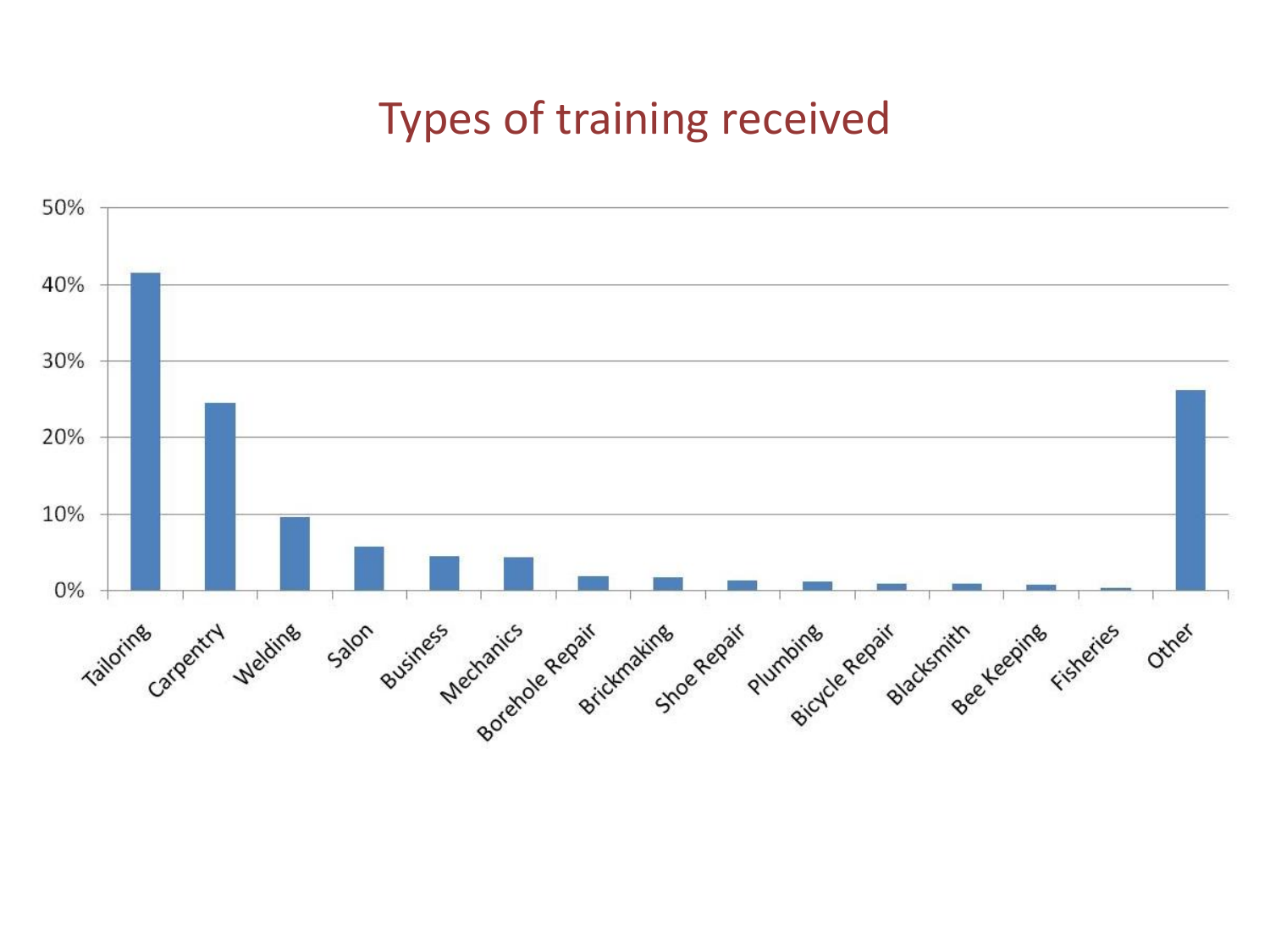#### Types of training received

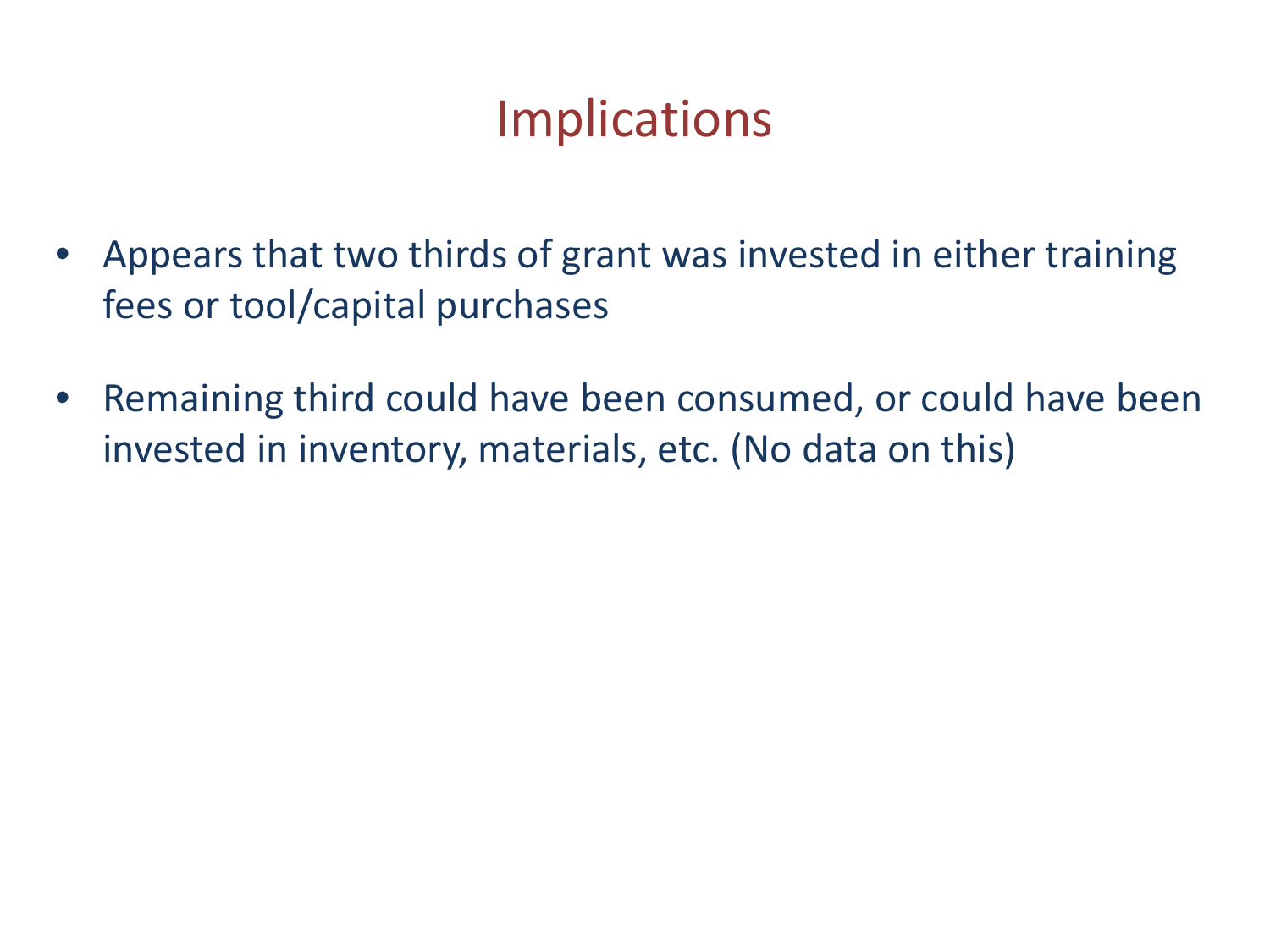## **Implications**

- Appears that two thirds of grant was invested in either training fees or tool/capital purchases
- Remaining third could have been consumed, or could have been invested in inventory, materials, etc. (No data on this)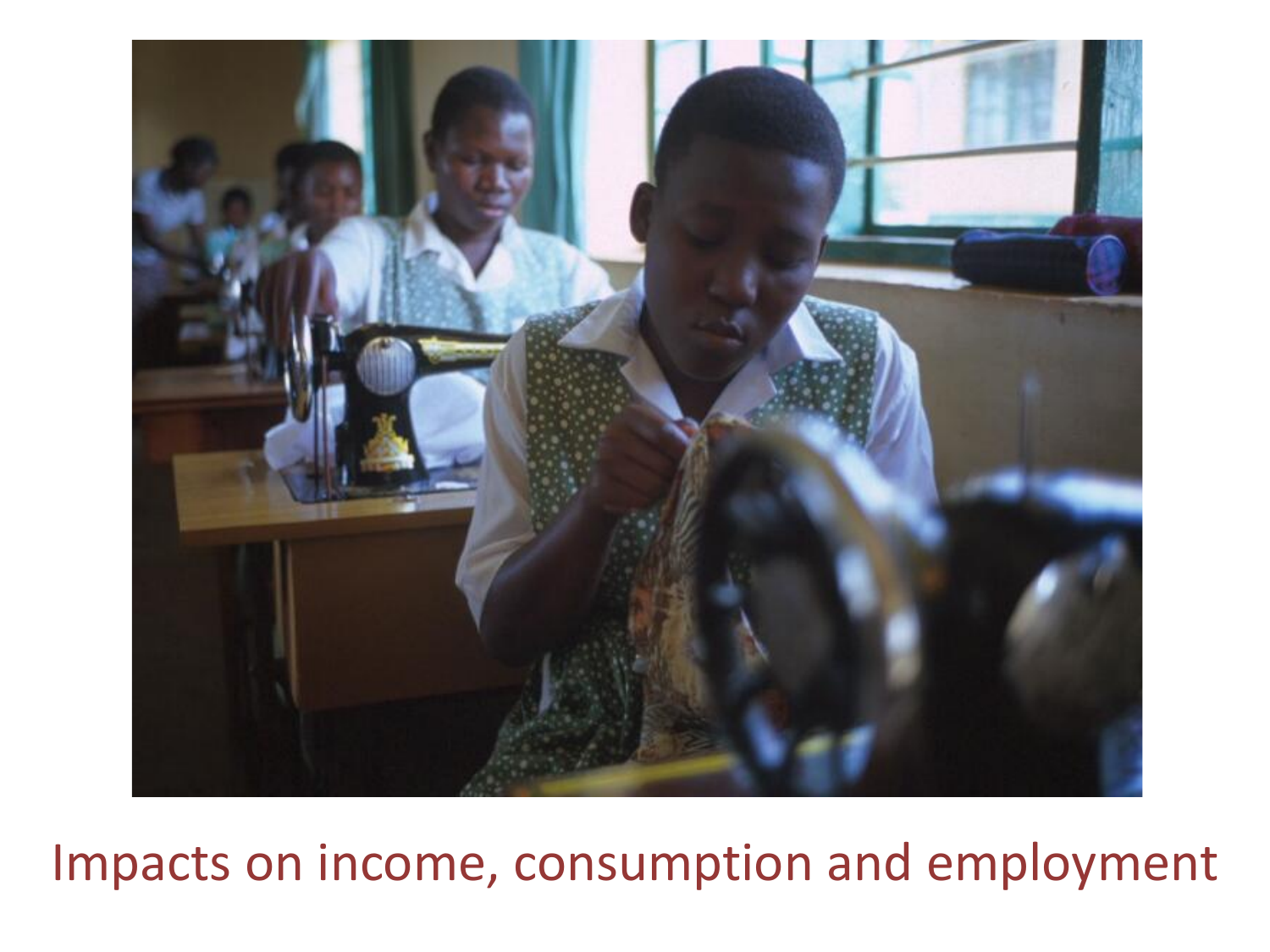

Impacts on income, consumption and employment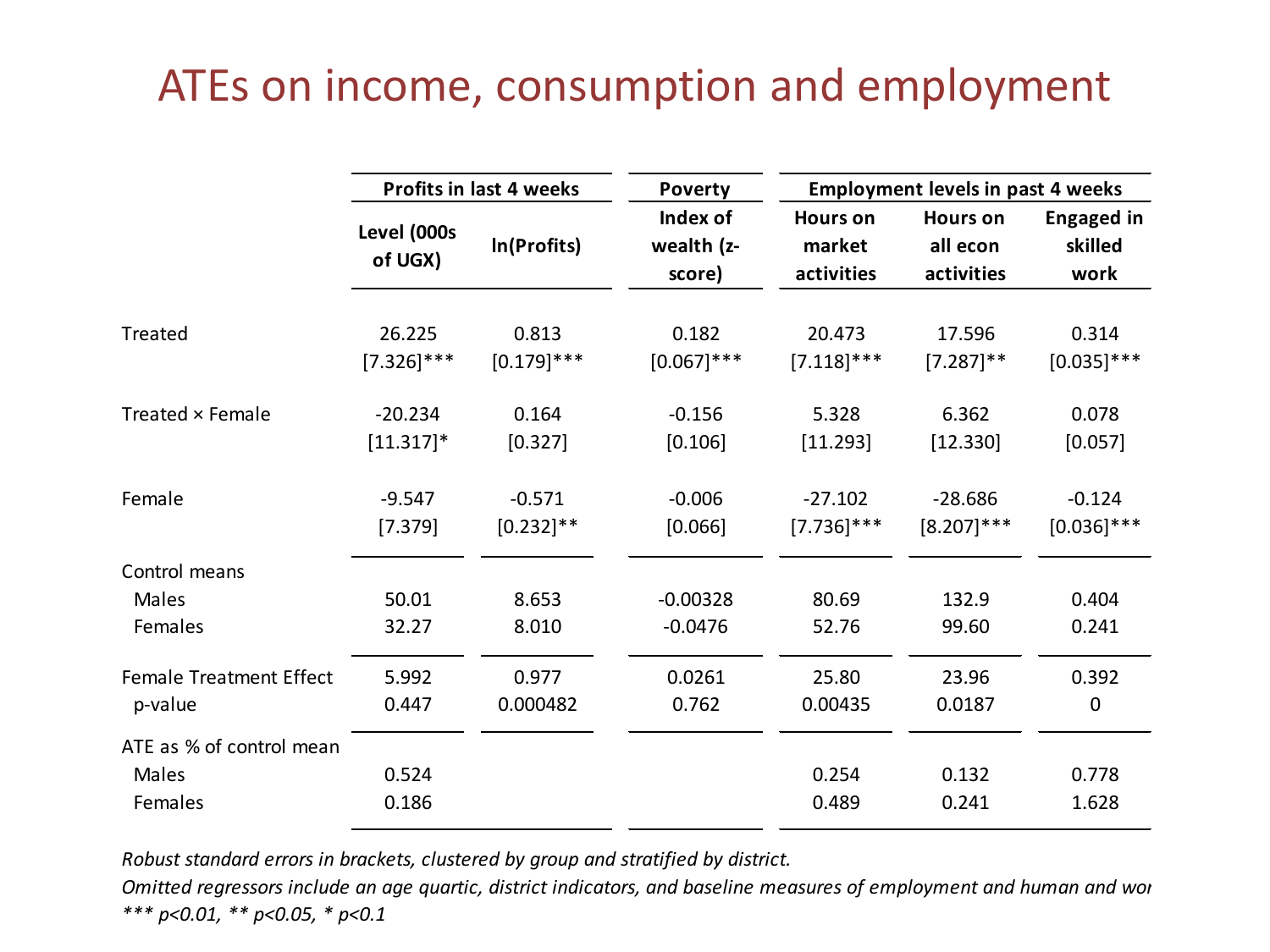#### ATEs on income, consumption and employment

|                                              | <b>Profits in last 4 weeks</b> |                | <b>Poverty</b>                   | <b>Employment levels in past 4 weeks</b> |                                           |                                      |
|----------------------------------------------|--------------------------------|----------------|----------------------------------|------------------------------------------|-------------------------------------------|--------------------------------------|
|                                              | Level (000s<br>of UGX)         | In(Profits)    | Index of<br>wealth (z-<br>score) | <b>Hours on</b><br>market<br>activities  | <b>Hours on</b><br>all econ<br>activities | <b>Engaged in</b><br>skilled<br>work |
| Treated                                      | 26.225                         | 0.813          | 0.182                            | 20.473                                   | 17.596                                    | 0.314                                |
|                                              | $[7.326]$ ***                  | $[0.179]$ ***  | $[0.067]$ ***                    | $[7.118]$ ***                            | $[7.287]$ **                              | $[0.035]$ ***                        |
| Treated × Female                             | $-20.234$                      | 0.164          | $-0.156$                         | 5.328                                    | 6.362                                     | 0.078                                |
|                                              | $[11.317]$ *                   | [0.327]        | [0.106]                          | [11.293]                                 | [12.330]                                  | [0.057]                              |
| Female                                       | $-9.547$                       | $-0.571$       | $-0.006$                         | $-27.102$                                | $-28.686$                                 | $-0.124$                             |
|                                              | [7.379]                        | $[0.232]$ **   | [0.066]                          | $[7.736]$ ***                            | $[8.207]$ ***                             | $[0.036]$ ***                        |
| Control means<br>Males<br>Females            | 50.01<br>32.27                 | 8.653<br>8.010 | $-0.00328$<br>$-0.0476$          | 80.69<br>52.76                           | 132.9<br>99.60                            | 0.404<br>0.241                       |
| <b>Female Treatment Effect</b>               | 5.992                          | 0.977          | 0.0261                           | 25.80                                    | 23.96                                     | 0.392                                |
| p-value                                      | 0.447                          | 0.000482       | 0.762                            | 0.00435                                  | 0.0187                                    | $\pmb{0}$                            |
| ATE as % of control mean<br>Males<br>Females | 0.524<br>0.186                 |                |                                  | 0.254<br>0.489                           | 0.132<br>0.241                            | 0.778<br>1.628                       |

*Robust standard errors in brackets, clustered by group and stratified by district.* 

*Omitted regressors include an age quartic, district indicators, and baseline measures of employment and human and wor \*\*\* p<0.01, \*\* p<0.05, \* p<0.1*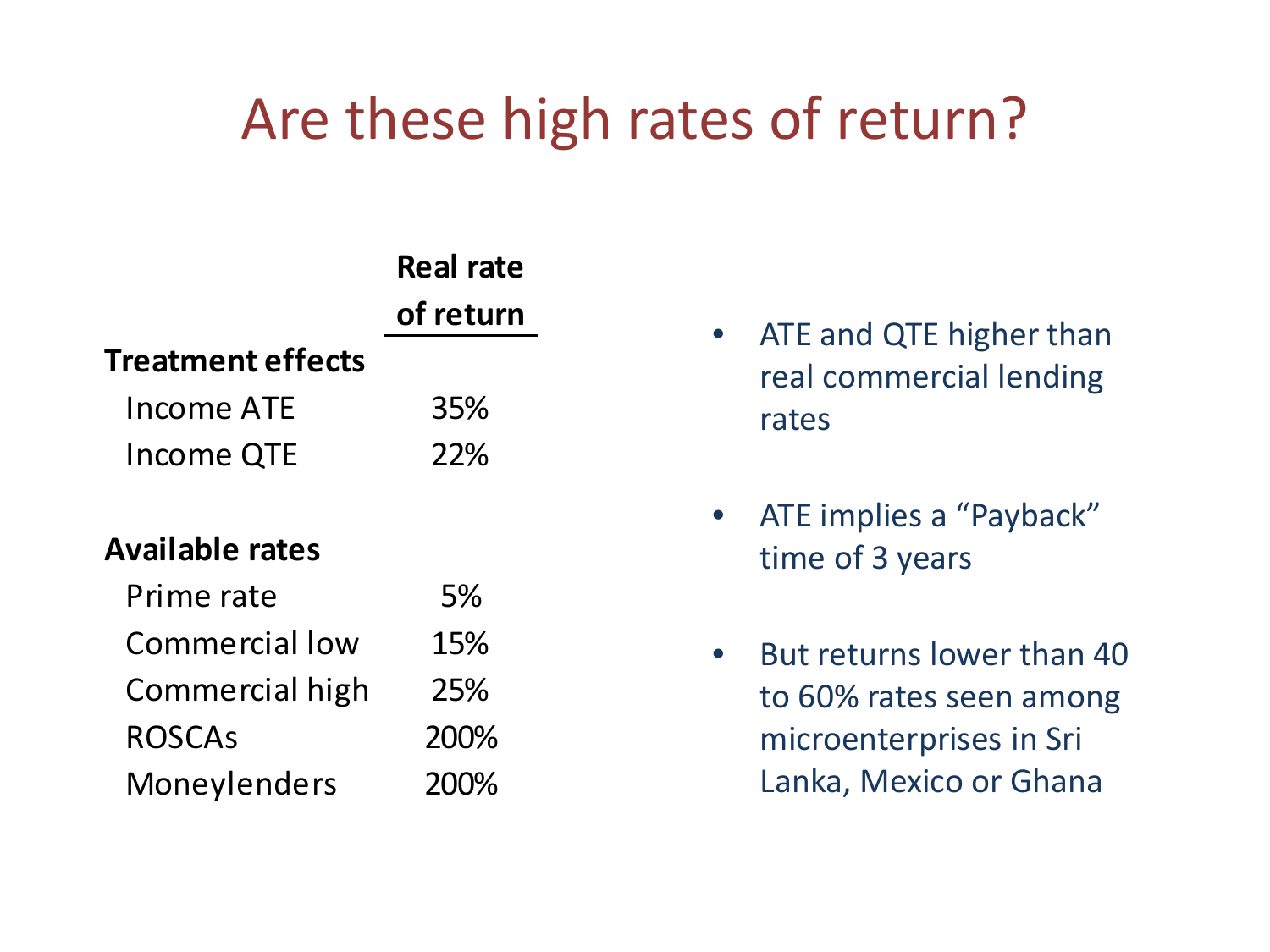# Are these high rates of return?

|                          | <b>Real rate</b> |  |  |  |  |  |
|--------------------------|------------------|--|--|--|--|--|
|                          | of return        |  |  |  |  |  |
| <b>Treatment effects</b> |                  |  |  |  |  |  |
| Income ATE               | 35%              |  |  |  |  |  |
| Income QTE               | <b>22%</b>       |  |  |  |  |  |
|                          |                  |  |  |  |  |  |
| <b>Available rates</b>   |                  |  |  |  |  |  |
| Prime rate               | 5%               |  |  |  |  |  |
| Commercial low           | 15%              |  |  |  |  |  |
| Commercial high          | 25%              |  |  |  |  |  |
| <b>ROSCAs</b>            | 200%             |  |  |  |  |  |
| Moneylenders             | 200%             |  |  |  |  |  |

- ATE and QTE higher than real commercial lending rates
- ATE implies a "Payback" time of 3 years
- But returns lower than 40 to 60% rates seen among microenterprises in Sri Lanka, Mexico or Ghana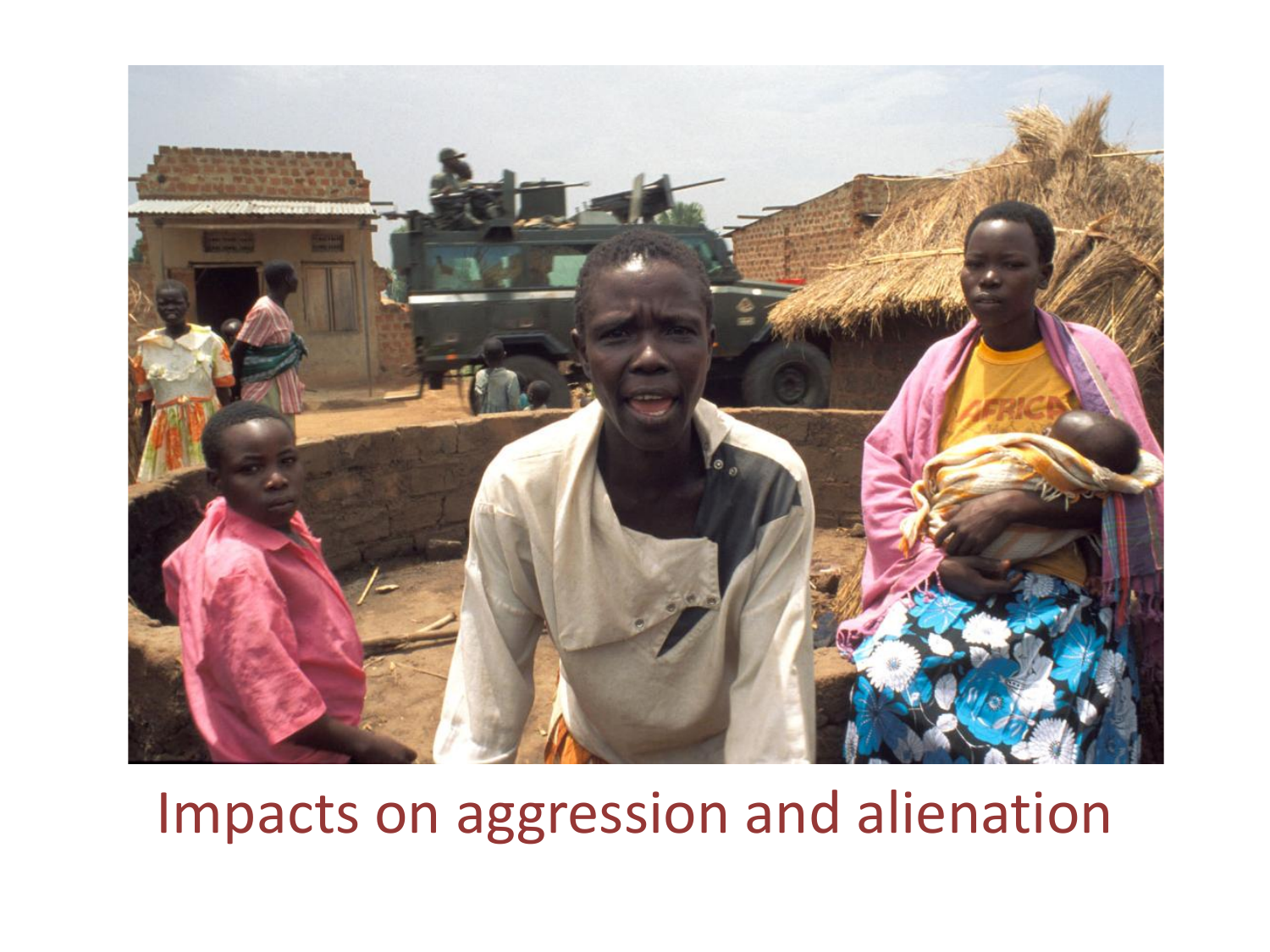

## Impacts on aggression and alienation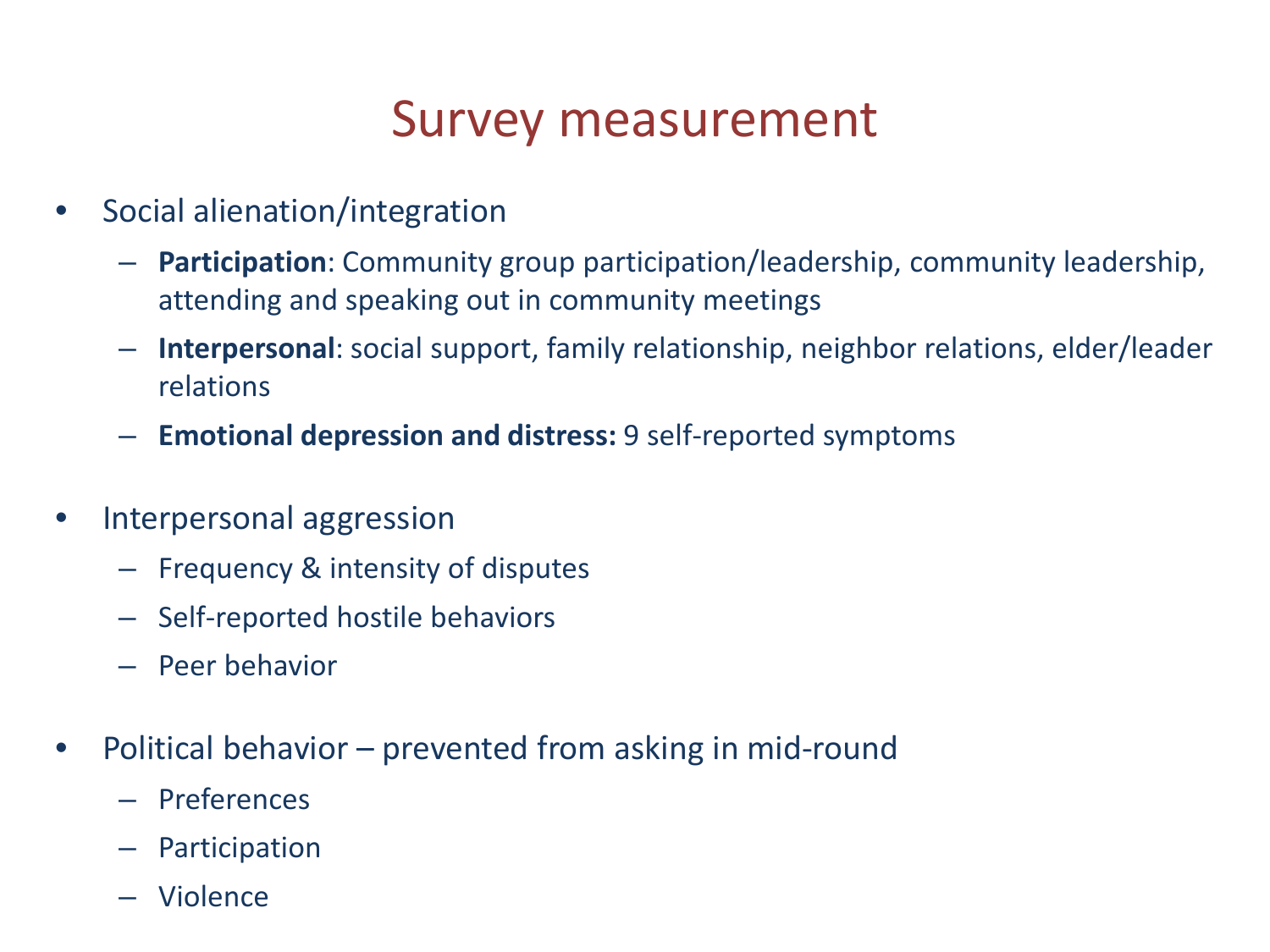## Survey measurement

- Social alienation/integration
	- **Participation**: Community group participation/leadership, community leadership, attending and speaking out in community meetings
	- **Interpersonal**: social support, family relationship, neighbor relations, elder/leader relations
	- **Emotional depression and distress:** 9 self-reported symptoms
- Interpersonal aggression
	- Frequency & intensity of disputes
	- Self-reported hostile behaviors
	- Peer behavior
- Political behavior prevented from asking in mid-round
	- Preferences
	- Participation
	- Violence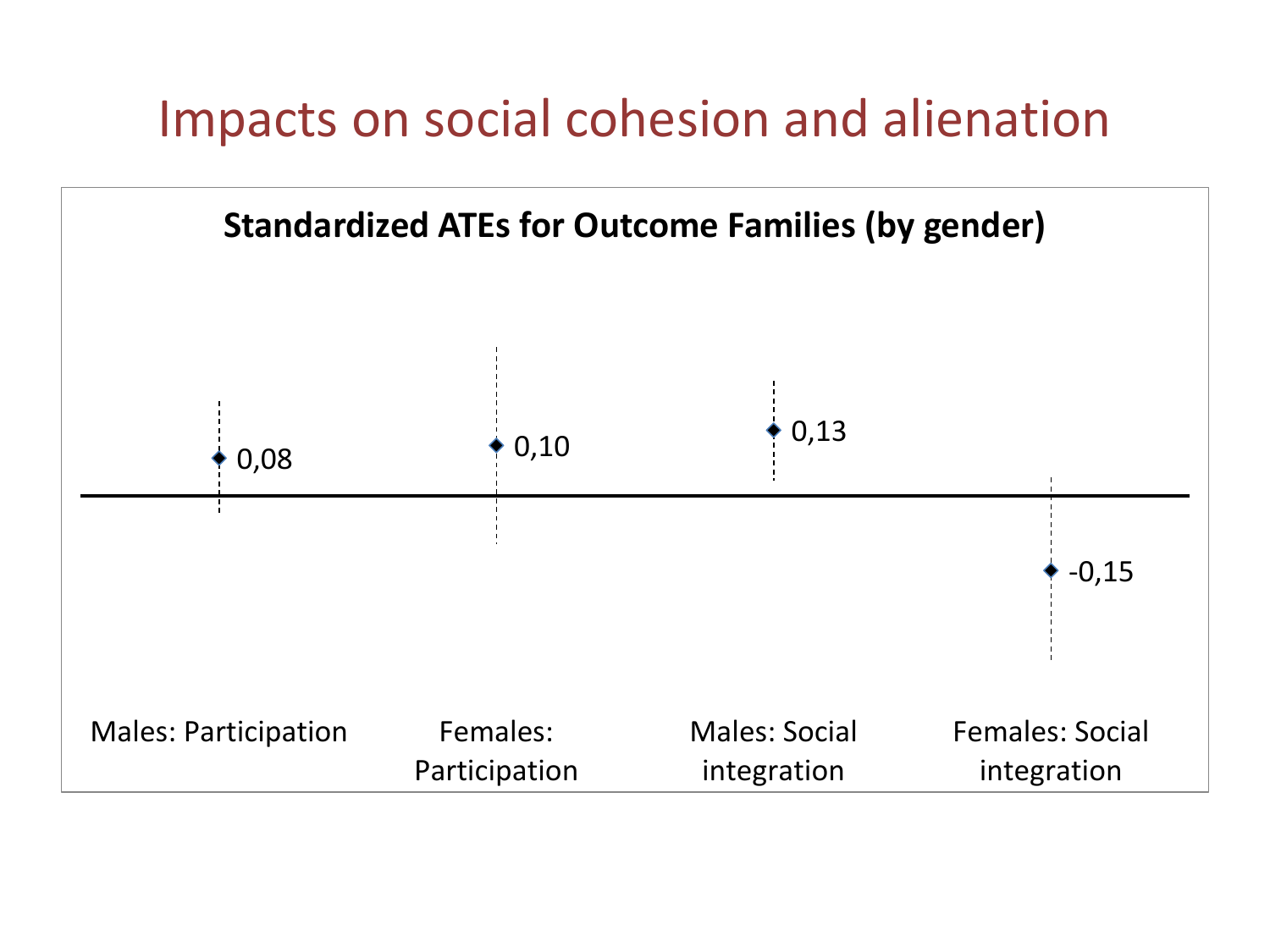## Impacts on social cohesion and alienation

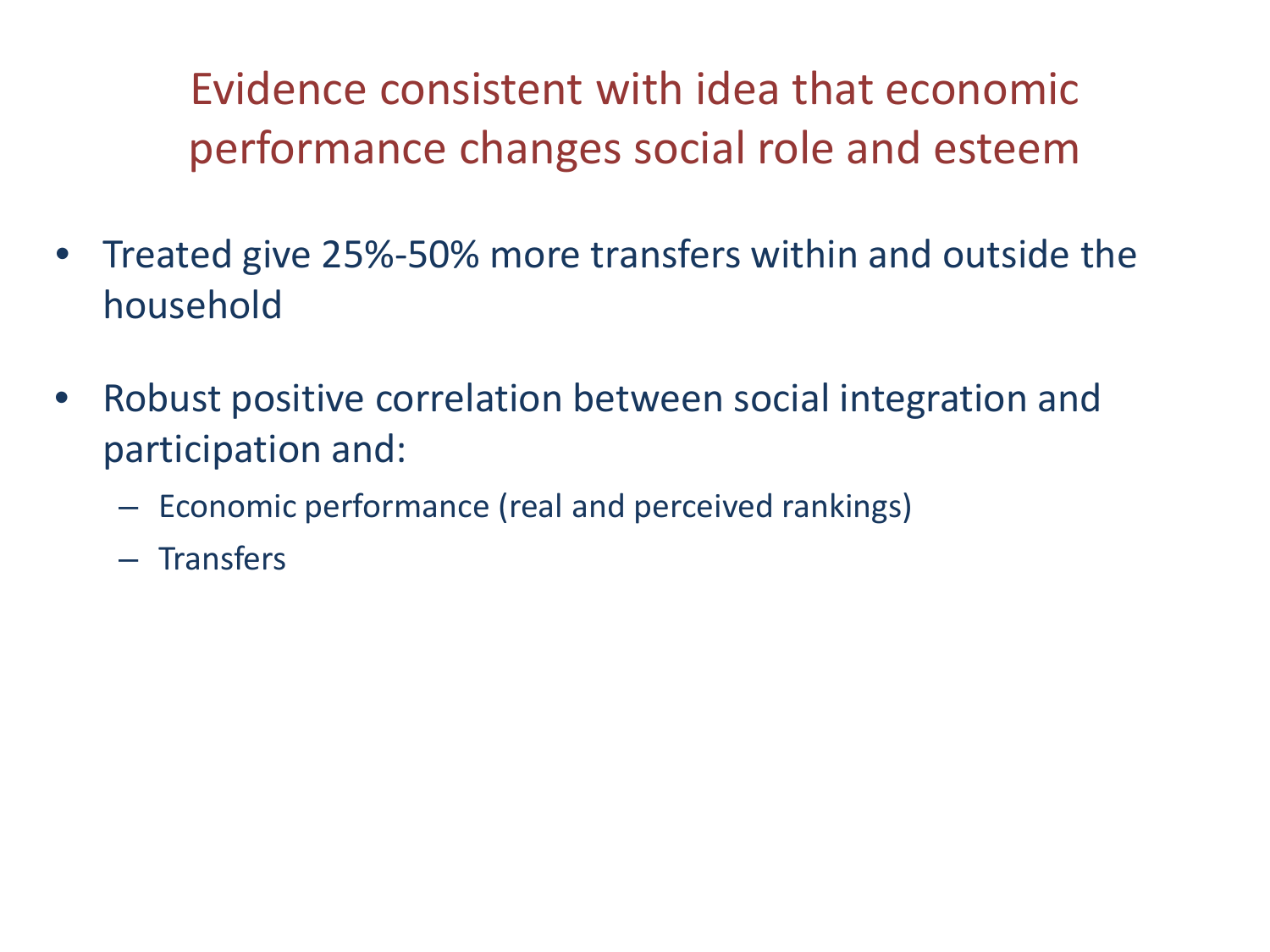Evidence consistent with idea that economic performance changes social role and esteem

- Treated give 25%-50% more transfers within and outside the household
- Robust positive correlation between social integration and participation and:
	- Economic performance (real and perceived rankings)
	- Transfers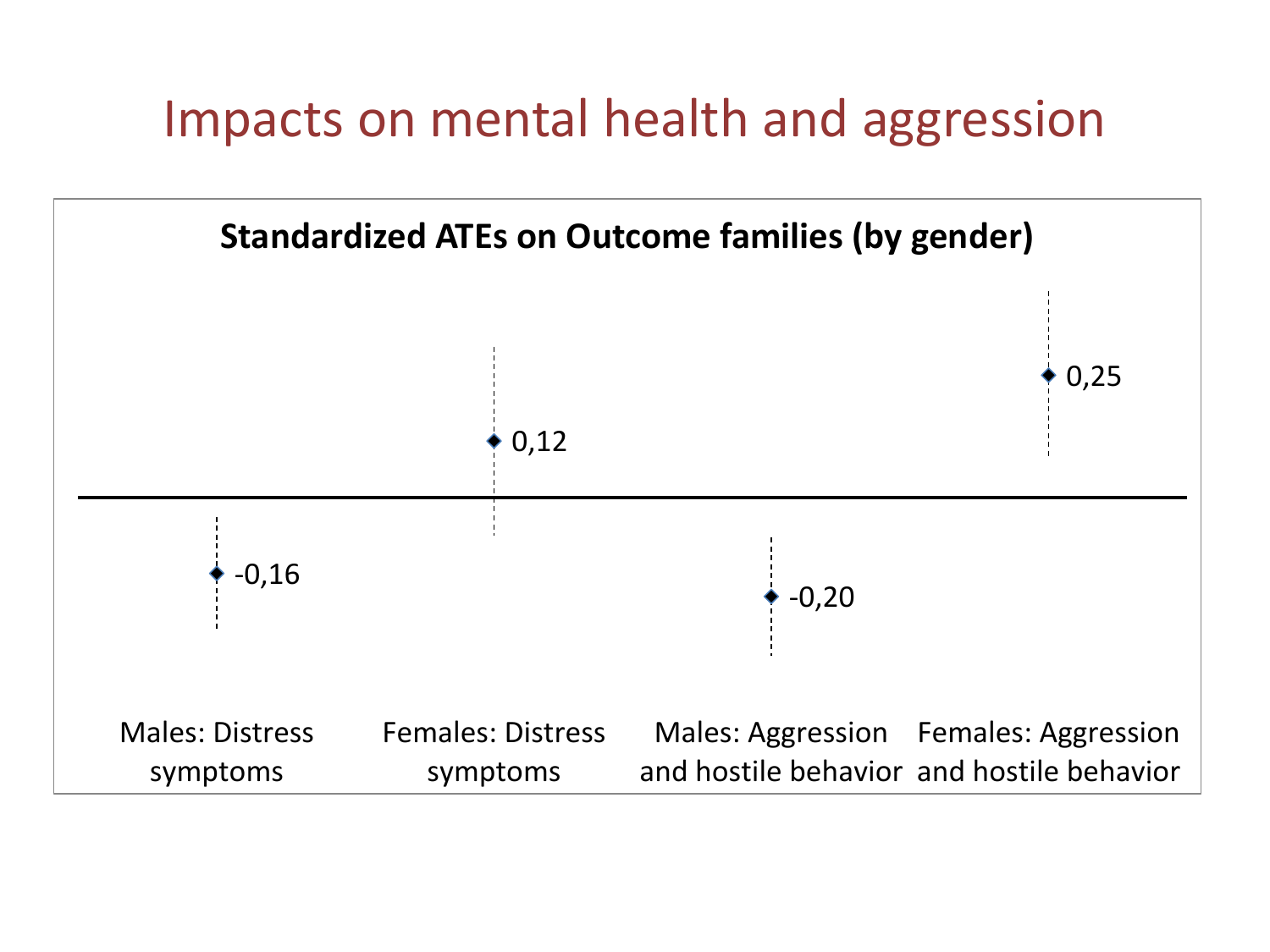## Impacts on mental health and aggression

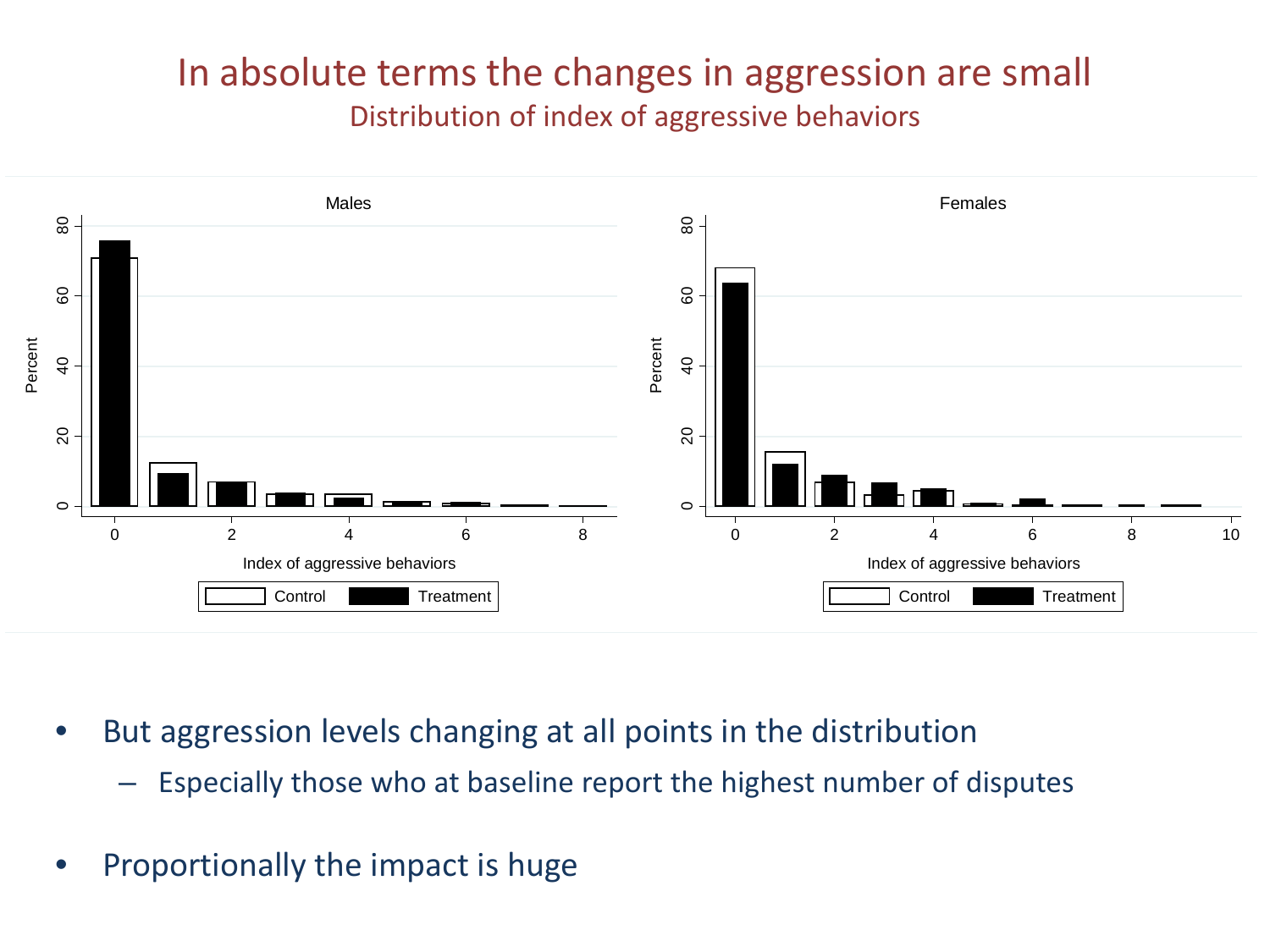#### In absolute terms the changes in aggression are small Distribution of index of aggressive behaviors



- But aggression levels changing at all points in the distribution
	- Especially those who at baseline report the highest number of disputes
- Proportionally the impact is huge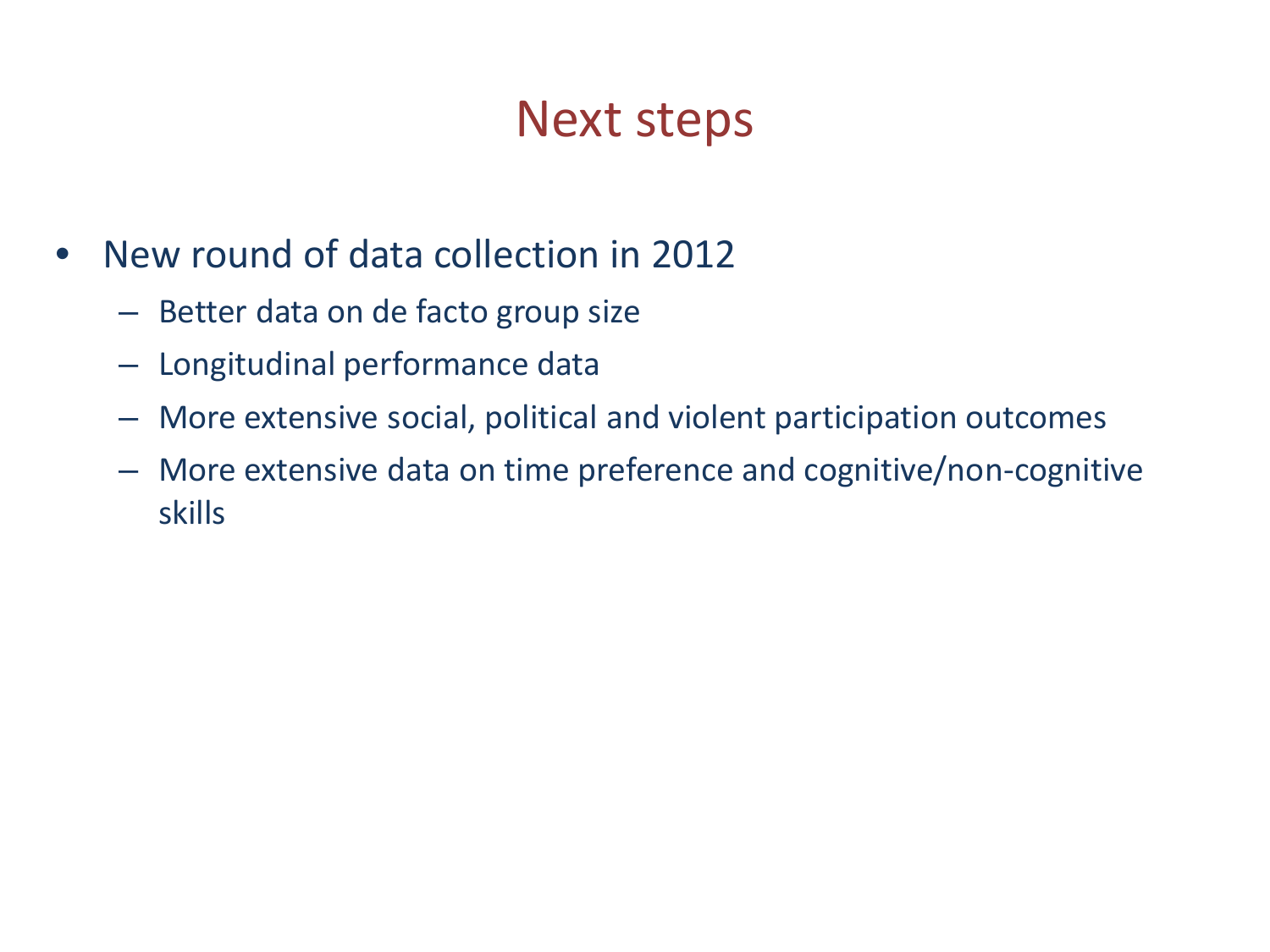### Next steps

- New round of data collection in 2012
	- Better data on de facto group size
	- Longitudinal performance data
	- More extensive social, political and violent participation outcomes
	- More extensive data on time preference and cognitive/non-cognitive skills